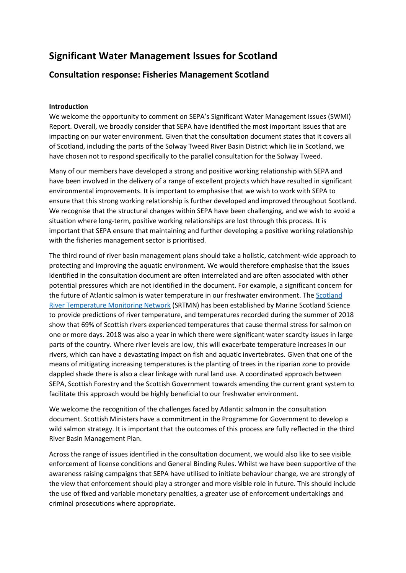# **Significant Water Management Issues for Scotland**

# **Consultation response: Fisheries Management Scotland**

## **Introduction**

We welcome the opportunity to comment on SEPA's Significant Water Management Issues (SWMI) Report. Overall, we broadly consider that SEPA have identified the most important issues that are impacting on our water environment. Given that the consultation document states that it covers all of Scotland, including the parts of the Solway Tweed River Basin District which lie in Scotland, we have chosen not to respond specifically to the parallel consultation for the Solway Tweed.

Many of our members have developed a strong and positive working relationship with SEPA and have been involved in the delivery of a range of excellent projects which have resulted in significant environmental improvements. It is important to emphasise that we wish to work with SEPA to ensure that this strong working relationship is further developed and improved throughout Scotland. We recognise that the structural changes within SEPA have been challenging, and we wish to avoid a situation where long-term, positive working relationships are lost through this process. It is important that SEPA ensure that maintaining and further developing a positive working relationship with the fisheries management sector is prioritised.

The third round of river basin management plans should take a holistic, catchment-wide approach to protecting and improving the aquatic environment. We would therefore emphasise that the issues identified in the consultation document are often interrelated and are often associated with other potential pressures which are not identified in the document. For example, a significant concern for the future of Atlantic salmon is water temperature in our freshwater environment. The [Scotland](http://marine.gov.scot/information/scotland-river-temperature-monitoring-network-srtmn-predictions-river-temperature-and)  [River Temperature Monitoring Network](http://marine.gov.scot/information/scotland-river-temperature-monitoring-network-srtmn-predictions-river-temperature-and) (SRTMN) has been established by Marine Scotland Science to provide predictions of river temperature, and temperatures recorded during the summer of 2018 show that 69% of Scottish rivers experienced temperatures that cause thermal stress for salmon on one or more days. 2018 was also a year in which there were significant water scarcity issues in large parts of the country. Where river levels are low, this will exacerbate temperature increases in our rivers, which can have a devastating impact on fish and aquatic invertebrates. Given that one of the means of mitigating increasing temperatures is the planting of trees in the riparian zone to provide dappled shade there is also a clear linkage with rural land use. A coordinated approach between SEPA, Scottish Forestry and the Scottish Government towards amending the current grant system to facilitate this approach would be highly beneficial to our freshwater environment.

We welcome the recognition of the challenges faced by Atlantic salmon in the consultation document. Scottish Ministers have a commitment in the Programme for Government to develop a wild salmon strategy. It is important that the outcomes of this process are fully reflected in the third River Basin Management Plan.

Across the range of issues identified in the consultation document, we would also like to see visible enforcement of license conditions and General Binding Rules. Whilst we have been supportive of the awareness raising campaigns that SEPA have utilised to initiate behaviour change, we are strongly of the view that enforcement should play a stronger and more visible role in future. This should include the use of fixed and variable monetary penalties, a greater use of enforcement undertakings and criminal prosecutions where appropriate.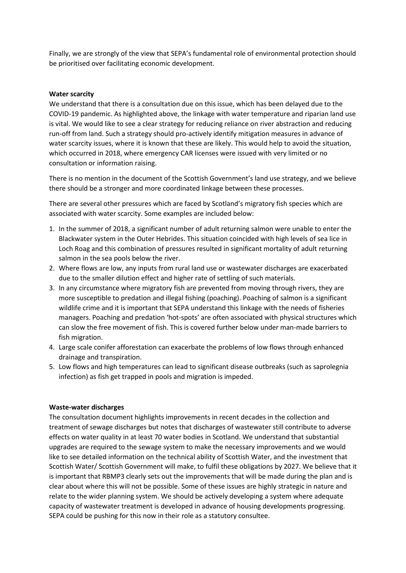Finally, we are strongly of the view that SEPA's fundamental role of environmental protection should be prioritised over facilitating economic development.

#### **Water scarcity**

We understand that there is a consultation due on this issue, which has been delayed due to the COVID-19 pandemic. As highlighted above, the linkage with water temperature and riparian land use is vital. We would like to see a clear strategy for reducing reliance on river abstraction and reducing run-off from land. Such a strategy should pro-actively identify mitigation measures in advance of water scarcity issues, where it is known that these are likely. This would help to avoid the situation, which occurred in 2018, where emergency CAR licenses were issued with very limited or no consultation or information raising.

There is no mention in the document of the Scottish Government's land use strategy, and we believe there should be a stronger and more coordinated linkage between these processes.

There are several other pressures which are faced by Scotland's migratory fish species which are associated with water scarcity. Some examples are included below:

- 1. In the summer of 2018, a significant number of adult returning salmon were unable to enter the Blackwater system in the Outer Hebrides. This situation coincided with high levels of sea lice in Loch Roag and this combination of pressures resulted in significant mortality of adult returning salmon in the sea pools below the river.
- 2. Where flows are low, any inputs from rural land use or wastewater discharges are exacerbated due to the smaller dilution effect and higher rate of settling of such materials.
- 3. In any circumstance where migratory fish are prevented from moving through rivers, they are more susceptible to predation and illegal fishing (poaching). Poaching of salmon is a significant wildlife crime and it is important that SEPA understand this linkage with the needs of fisheries managers. Poaching and predation 'hot-spots' are often associated with physical structures which can slow the free movement of fish. This is covered further below under man-made barriers to fish migration.
- 4. Large scale conifer afforestation can exacerbate the problems of low flows through enhanced drainage and transpiration.
- 5. Low flows and high temperatures can lead to significant disease outbreaks (such as saprolegnia infection) as fish get trapped in pools and migration is impeded.

#### **Waste-water discharges**

The consultation document highlights improvements in recent decades in the collection and treatment of sewage discharges but notes that discharges of wastewater still contribute to adverse effects on water quality in at least 70 water bodies in Scotland. We understand that substantial upgrades are required to the sewage system to make the necessary improvements and we would like to see detailed information on the technical ability of Scottish Water, and the investment that Scottish Water/ Scottish Government will make, to fulfil these obligations by 2027. We believe that it is important that RBMP3 clearly sets out the improvements that will be made during the plan and is clear about where this will not be possible. Some of these issues are highly strategic in nature and relate to the wider planning system. We should be actively developing a system where adequate capacity of wastewater treatment is developed in advance of housing developments progressing. SEPA could be pushing for this now in their role as a statutory consultee.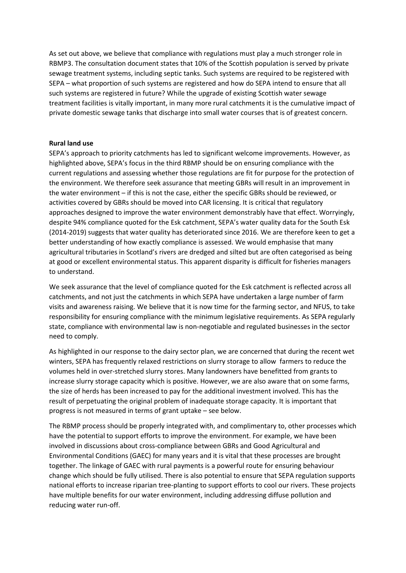As set out above, we believe that compliance with regulations must play a much stronger role in RBMP3. The consultation document states that 10% of the Scottish population is served by private sewage treatment systems, including septic tanks. Such systems are required to be registered with SEPA – what proportion of such systems are registered and how do SEPA intend to ensure that all such systems are registered in future? While the upgrade of existing Scottish water sewage treatment facilities is vitally important, in many more rural catchments it is the cumulative impact of private domestic sewage tanks that discharge into small water courses that is of greatest concern.

#### **Rural land use**

SEPA's approach to priority catchments has led to significant welcome improvements. However, as highlighted above, SEPA's focus in the third RBMP should be on ensuring compliance with the current regulations and assessing whether those regulations are fit for purpose for the protection of the environment. We therefore seek assurance that meeting GBRs will result in an improvement in the water environment – if this is not the case, either the specific GBRs should be reviewed, or activities covered by GBRs should be moved into CAR licensing. It is critical that regulatory approaches designed to improve the water environment demonstrably have that effect. Worryingly, despite 94% compliance quoted for the Esk catchment, SEPA's water quality data for the South Esk (2014-2019) suggests that water quality has deteriorated since 2016. We are therefore keen to get a better understanding of how exactly compliance is assessed. We would emphasise that many agricultural tributaries in Scotland's rivers are dredged and silted but are often categorised as being at good or excellent environmental status. This apparent disparity is difficult for fisheries managers to understand.

We seek assurance that the level of compliance quoted for the Esk catchment is reflected across all catchments, and not just the catchments in which SEPA have undertaken a large number of farm visits and awareness raising. We believe that it is now time for the farming sector, and NFUS, to take responsibility for ensuring compliance with the minimum legislative requirements. As SEPA regularly state, compliance with environmental law is non-negotiable and regulated businesses in the sector need to comply.

As highlighted in our response to the dairy sector plan, we are concerned that during the recent wet winters, SEPA has frequently relaxed restrictions on slurry storage to allow farmers to reduce the volumes held in over-stretched slurry stores. Many landowners have benefitted from grants to increase slurry storage capacity which is positive. However, we are also aware that on some farms, the size of herds has been increased to pay for the additional investment involved. This has the result of perpetuating the original problem of inadequate storage capacity. It is important that progress is not measured in terms of grant uptake – see below.

The RBMP process should be properly integrated with, and complimentary to, other processes which have the potential to support efforts to improve the environment. For example, we have been involved in discussions about cross-compliance between GBRs and Good Agricultural and Environmental Conditions (GAEC) for many years and it is vital that these processes are brought together. The linkage of GAEC with rural payments is a powerful route for ensuring behaviour change which should be fully utilised. There is also potential to ensure that SEPA regulation supports national efforts to increase riparian tree-planting to support efforts to cool our rivers. These projects have multiple benefits for our water environment, including addressing diffuse pollution and reducing water run-off.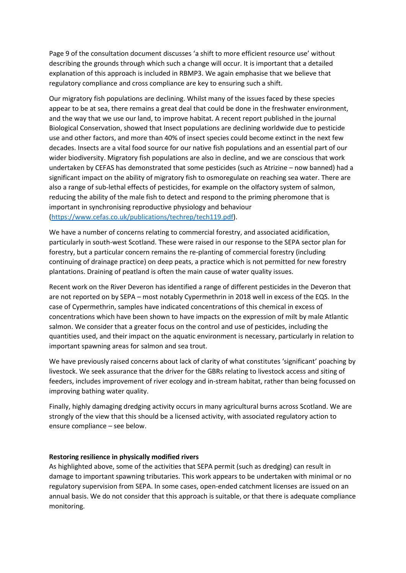Page 9 of the consultation document discusses 'a shift to more efficient resource use' without describing the grounds through which such a change will occur. It is important that a detailed explanation of this approach is included in RBMP3. We again emphasise that we believe that regulatory compliance and cross compliance are key to ensuring such a shift.

Our migratory fish populations are declining. Whilst many of the issues faced by these species appear to be at sea, there remains a great deal that could be done in the freshwater environment, and the way that we use our land, to improve habitat. A recent report published in the journal Biological Conservation, showed that Insect populations are declining worldwide due to pesticide use and other factors, and more than 40% of insect species could become extinct in the next few decades. Insects are a vital food source for our native fish populations and an essential part of our wider biodiversity. Migratory fish populations are also in decline, and we are conscious that work undertaken by CEFAS has demonstrated that some pesticides (such as Atrizine – now banned) had a significant impact on the ability of migratory fish to osmoregulate on reaching sea water. There are also a range of sub-lethal effects of pesticides, for example on the olfactory system of salmon, reducing the ability of the male fish to detect and respond to the priming pheromone that is important in synchronising reproductive physiology and behaviour [\(https://www.cefas.co.uk/publications/techrep/tech119.pdf\)](https://www.cefas.co.uk/publications/techrep/tech119.pdf).

We have a number of concerns relating to commercial forestry, and associated acidification, particularly in south-west Scotland. These were raised in our response to the SEPA sector plan for forestry, but a particular concern remains the re-planting of commercial forestry (including continuing of drainage practice) on deep peats, a practice which is not permitted for new forestry plantations. Draining of peatland is often the main cause of water quality issues.

Recent work on the River Deveron has identified a range of different pesticides in the Deveron that are not reported on by SEPA – most notably Cypermethrin in 2018 well in excess of the EQS. In the case of Cypermethrin, samples have indicated concentrations of this chemical in excess of concentrations which have been shown to have impacts on the expression of milt by male Atlantic salmon. We consider that a greater focus on the control and use of pesticides, including the quantities used, and their impact on the aquatic environment is necessary, particularly in relation to important spawning areas for salmon and sea trout.

We have previously raised concerns about lack of clarity of what constitutes 'significant' poaching by livestock. We seek assurance that the driver for the GBRs relating to livestock access and siting of feeders, includes improvement of river ecology and in-stream habitat, rather than being focussed on improving bathing water quality.

Finally, highly damaging dredging activity occurs in many agricultural burns across Scotland. We are strongly of the view that this should be a licensed activity, with associated regulatory action to ensure compliance – see below.

#### **Restoring resilience in physically modified rivers**

As highlighted above, some of the activities that SEPA permit (such as dredging) can result in damage to important spawning tributaries. This work appears to be undertaken with minimal or no regulatory supervision from SEPA. In some cases, open-ended catchment licenses are issued on an annual basis. We do not consider that this approach is suitable, or that there is adequate compliance monitoring.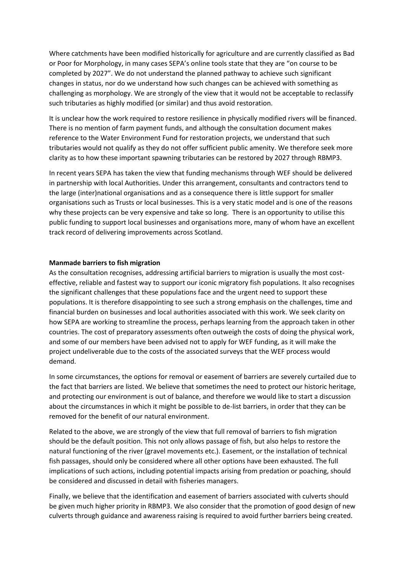Where catchments have been modified historically for agriculture and are currently classified as Bad or Poor for Morphology, in many cases SEPA's online tools state that they are "on course to be completed by 2027". We do not understand the planned pathway to achieve such significant changes in status, nor do we understand how such changes can be achieved with something as challenging as morphology. We are strongly of the view that it would not be acceptable to reclassify such tributaries as highly modified (or similar) and thus avoid restoration.

It is unclear how the work required to restore resilience in physically modified rivers will be financed. There is no mention of farm payment funds, and although the consultation document makes reference to the Water Environment Fund for restoration projects, we understand that such tributaries would not qualify as they do not offer sufficient public amenity. We therefore seek more clarity as to how these important spawning tributaries can be restored by 2027 through RBMP3.

In recent years SEPA has taken the view that funding mechanisms through WEF should be delivered in partnership with local Authorities. Under this arrangement, consultants and contractors tend to the large (inter)national organisations and as a consequence there is little support for smaller organisations such as Trusts or local businesses. This is a very static model and is one of the reasons why these projects can be very expensive and take so long. There is an opportunity to utilise this public funding to support local businesses and organisations more, many of whom have an excellent track record of delivering improvements across Scotland.

#### **Manmade barriers to fish migration**

As the consultation recognises, addressing artificial barriers to migration is usually the most costeffective, reliable and fastest way to support our iconic migratory fish populations. It also recognises the significant challenges that these populations face and the urgent need to support these populations. It is therefore disappointing to see such a strong emphasis on the challenges, time and financial burden on businesses and local authorities associated with this work. We seek clarity on how SEPA are working to streamline the process, perhaps learning from the approach taken in other countries. The cost of preparatory assessments often outweigh the costs of doing the physical work, and some of our members have been advised not to apply for WEF funding, as it will make the project undeliverable due to the costs of the associated surveys that the WEF process would demand.

In some circumstances, the options for removal or easement of barriers are severely curtailed due to the fact that barriers are listed. We believe that sometimes the need to protect our historic heritage, and protecting our environment is out of balance, and therefore we would like to start a discussion about the circumstances in which it might be possible to de-list barriers, in order that they can be removed for the benefit of our natural environment.

Related to the above, we are strongly of the view that full removal of barriers to fish migration should be the default position. This not only allows passage of fish, but also helps to restore the natural functioning of the river (gravel movements etc.). Easement, or the installation of technical fish passages, should only be considered where all other options have been exhausted. The full implications of such actions, including potential impacts arising from predation or poaching, should be considered and discussed in detail with fisheries managers.

Finally, we believe that the identification and easement of barriers associated with culverts should be given much higher priority in RBMP3. We also consider that the promotion of good design of new culverts through guidance and awareness raising is required to avoid further barriers being created.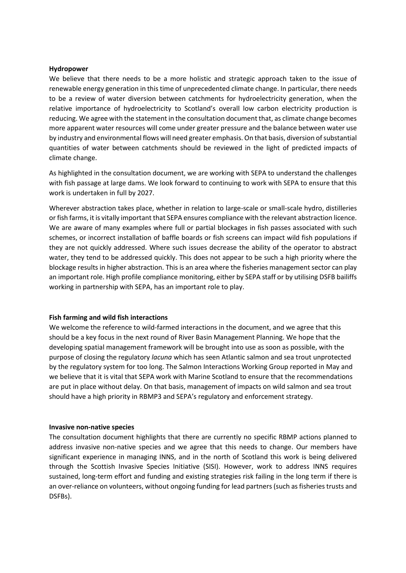#### **Hydropower**

We believe that there needs to be a more holistic and strategic approach taken to the issue of renewable energy generation in this time of unprecedented climate change. In particular, there needs to be a review of water diversion between catchments for hydroelectricity generation, when the relative importance of hydroelectricity to Scotland's overall low carbon electricity production is reducing. We agree with the statement in the consultation document that, as climate change becomes more apparent water resources will come under greater pressure and the balance between water use by industry and environmental flows will need greater emphasis. On that basis, diversion of substantial quantities of water between catchments should be reviewed in the light of predicted impacts of climate change.

As highlighted in the consultation document, we are working with SEPA to understand the challenges with fish passage at large dams. We look forward to continuing to work with SEPA to ensure that this work is undertaken in full by 2027.

Wherever abstraction takes place, whether in relation to large-scale or small-scale hydro, distilleries or fish farms, it is vitally important that SEPA ensures compliance with the relevant abstraction licence. We are aware of many examples where full or partial blockages in fish passes associated with such schemes, or incorrect installation of baffle boards or fish screens can impact wild fish populations if they are not quickly addressed. Where such issues decrease the ability of the operator to abstract water, they tend to be addressed quickly. This does not appear to be such a high priority where the blockage results in higher abstraction. This is an area where the fisheries management sector can play an important role. High profile compliance monitoring, either by SEPA staff or by utilising DSFB bailiffs working in partnership with SEPA, has an important role to play.

#### **Fish farming and wild fish interactions**

We welcome the reference to wild-farmed interactions in the document, and we agree that this should be a key focus in the next round of River Basin Management Planning. We hope that the developing spatial management framework will be brought into use as soon as possible, with the purpose of closing the regulatory *lacuna* which has seen Atlantic salmon and sea trout unprotected by the regulatory system for too long. The Salmon Interactions Working Group reported in May and we believe that it is vital that SEPA work with Marine Scotland to ensure that the recommendations are put in place without delay. On that basis, management of impacts on wild salmon and sea trout should have a high priority in RBMP3 and SEPA's regulatory and enforcement strategy.

#### **Invasive non-native species**

The consultation document highlights that there are currently no specific RBMP actions planned to address invasive non-native species and we agree that this needs to change. Our members have significant experience in managing INNS, and in the north of Scotland this work is being delivered through the Scottish Invasive Species Initiative (SISI). However, work to address INNS requires sustained, long-term effort and funding and existing strategies risk failing in the long term if there is an over-reliance on volunteers, without ongoing funding for lead partners (such as fisheries trusts and DSFBs).